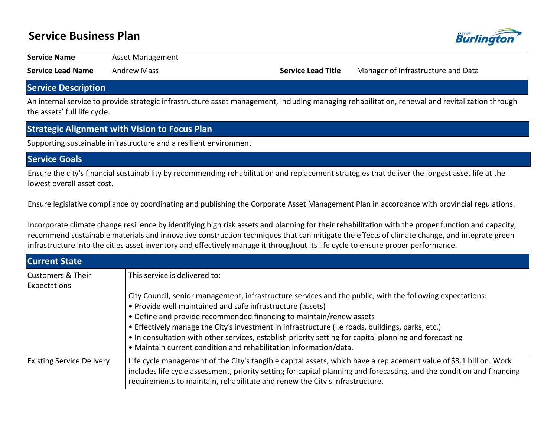## **Service Business Plan**



**Service Name Asset Management** 

**Service Lead Name** Andrew Mass **Service Lead Title** Manager of Infrastructure and Data

### **Service Description**

An internal service to provide strategic infrastructure asset management, including managing rehabilitation, renewal and revitalization through the assets' full life cycle.

### **Strategic Alignment with Vision to Focus Plan**

Supporting sustainable infrastructure and a resilient environment

### **Service Goals**

Ensure the city's financial sustainability by recommending rehabilitation and replacement strategies that deliver the longest asset life at the lowest overall asset cost.

Ensure legislative compliance by coordinating and publishing the Corporate Asset Management Plan in accordance with provincial regulations.

Incorporate climate change resilience by identifying high risk assets and planning for their rehabilitation with the proper function and capacity, recommend sustainable materials and innovative construction techniques that can mitigate the effects of climate change, and integrate green infrastructure into the cities asset inventory and effectively manage it throughout its life cycle to ensure proper performance.

| <b>Current State</b>                         |                                                                                                                                                                                                                                                                                                                                                                                                                                                                                                                                   |  |  |  |  |  |
|----------------------------------------------|-----------------------------------------------------------------------------------------------------------------------------------------------------------------------------------------------------------------------------------------------------------------------------------------------------------------------------------------------------------------------------------------------------------------------------------------------------------------------------------------------------------------------------------|--|--|--|--|--|
| <b>Customers &amp; Their</b><br>Expectations | This service is delivered to:                                                                                                                                                                                                                                                                                                                                                                                                                                                                                                     |  |  |  |  |  |
|                                              | City Council, senior management, infrastructure services and the public, with the following expectations:<br>• Provide well maintained and safe infrastructure (assets)<br>• Define and provide recommended financing to maintain/renew assets<br>• Effectively manage the City's investment in infrastructure (i.e roads, buildings, parks, etc.)<br>• In consultation with other services, establish priority setting for capital planning and forecasting<br>• Maintain current condition and rehabilitation information/data. |  |  |  |  |  |
| <b>Existing Service Delivery</b>             | Life cycle management of the City's tangible capital assets, which have a replacement value of \$3.1 billion. Work<br>includes life cycle assessment, priority setting for capital planning and forecasting, and the condition and financing<br>requirements to maintain, rehabilitate and renew the City's infrastructure.                                                                                                                                                                                                       |  |  |  |  |  |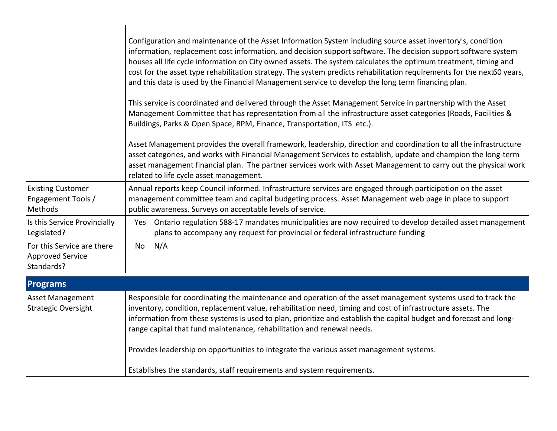|                                                                     | Configuration and maintenance of the Asset Information System including source asset inventory's, condition<br>information, replacement cost information, and decision support software. The decision support software system<br>houses all life cycle information on City owned assets. The system calculates the optimum treatment, timing and<br>cost for the asset type rehabilitation strategy. The system predicts rehabilitation requirements for the next60 years,<br>and this data is used by the Financial Management service to develop the long term financing plan.<br>This service is coordinated and delivered through the Asset Management Service in partnership with the Asset<br>Management Committee that has representation from all the infrastructure asset categories (Roads, Facilities &<br>Buildings, Parks & Open Space, RPM, Finance, Transportation, ITS etc.).<br>Asset Management provides the overall framework, leadership, direction and coordination to all the infrastructure<br>asset categories, and works with Financial Management Services to establish, update and champion the long-term<br>asset management financial plan. The partner services work with Asset Management to carry out the physical work<br>related to life cycle asset management. |
|---------------------------------------------------------------------|----------------------------------------------------------------------------------------------------------------------------------------------------------------------------------------------------------------------------------------------------------------------------------------------------------------------------------------------------------------------------------------------------------------------------------------------------------------------------------------------------------------------------------------------------------------------------------------------------------------------------------------------------------------------------------------------------------------------------------------------------------------------------------------------------------------------------------------------------------------------------------------------------------------------------------------------------------------------------------------------------------------------------------------------------------------------------------------------------------------------------------------------------------------------------------------------------------------------------------------------------------------------------------------------------|
| <b>Existing Customer</b><br>Engagement Tools /<br><b>Methods</b>    | Annual reports keep Council informed. Infrastructure services are engaged through participation on the asset<br>management committee team and capital budgeting process. Asset Management web page in place to support<br>public awareness. Surveys on acceptable levels of service.                                                                                                                                                                                                                                                                                                                                                                                                                                                                                                                                                                                                                                                                                                                                                                                                                                                                                                                                                                                                               |
| Is this Service Provincially<br>Legislated?                         | Yes Ontario regulation 588-17 mandates municipalities are now required to develop detailed asset management<br>plans to accompany any request for provincial or federal infrastructure funding                                                                                                                                                                                                                                                                                                                                                                                                                                                                                                                                                                                                                                                                                                                                                                                                                                                                                                                                                                                                                                                                                                     |
| For this Service are there<br><b>Approved Service</b><br>Standards? | N/A<br>No                                                                                                                                                                                                                                                                                                                                                                                                                                                                                                                                                                                                                                                                                                                                                                                                                                                                                                                                                                                                                                                                                                                                                                                                                                                                                          |
| <b>Programs</b>                                                     |                                                                                                                                                                                                                                                                                                                                                                                                                                                                                                                                                                                                                                                                                                                                                                                                                                                                                                                                                                                                                                                                                                                                                                                                                                                                                                    |
| Asset Management<br><b>Strategic Oversight</b>                      | Responsible for coordinating the maintenance and operation of the asset management systems used to track the<br>inventory, condition, replacement value, rehabilitation need, timing and cost of infrastructure assets. The<br>information from these systems is used to plan, prioritize and establish the capital budget and forecast and long-<br>range capital that fund maintenance, rehabilitation and renewal needs.<br>Provides leadership on opportunities to integrate the various asset management systems.                                                                                                                                                                                                                                                                                                                                                                                                                                                                                                                                                                                                                                                                                                                                                                             |
|                                                                     | Establishes the standards, staff requirements and system requirements.                                                                                                                                                                                                                                                                                                                                                                                                                                                                                                                                                                                                                                                                                                                                                                                                                                                                                                                                                                                                                                                                                                                                                                                                                             |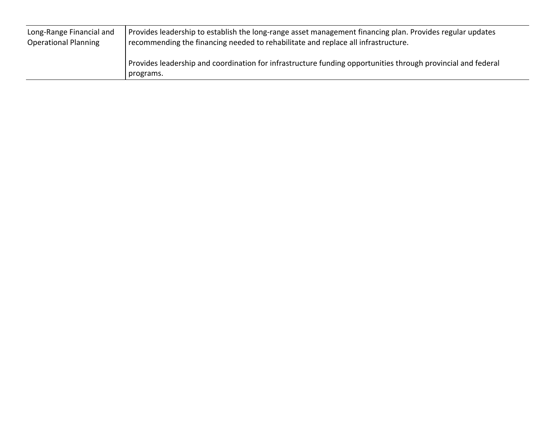| Long-Range Financial and    | Provides leadership to establish the long-range asset management financing plan. Provides regular updates                 |  |  |  |  |
|-----------------------------|---------------------------------------------------------------------------------------------------------------------------|--|--|--|--|
| <b>Operational Planning</b> | recommending the financing needed to rehabilitate and replace all infrastructure.                                         |  |  |  |  |
|                             | Provides leadership and coordination for infrastructure funding opportunities through provincial and federal<br>programs. |  |  |  |  |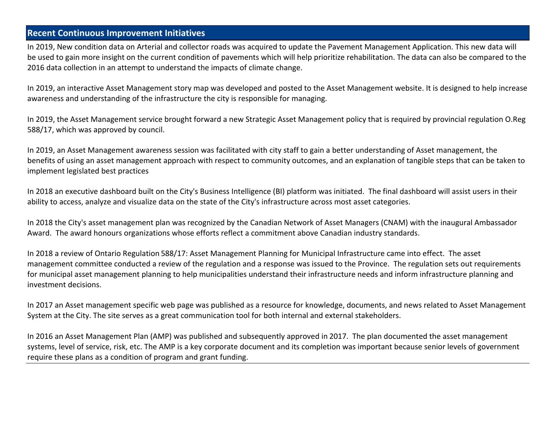## **Recent Continuous Improvement Initiatives**

In 2019, New condition data on Arterial and collector roads was acquired to update the Pavement Management Application. This new data will be used to gain more insight on the current condition of pavements which will help prioritize rehabilitation. The data can also be compared to the 2016 data collection in an attempt to understand the impacts of climate change.

In 2019, an interactive Asset Management story map was developed and posted to the Asset Management website. It is designed to help increase awareness and understanding of the infrastructure the city is responsible for managing.

In 2019, the Asset Management service brought forward a new Strategic Asset Management policy that is required by provincial regulation O.Reg 588/17, which was approved by council.

In 2019, an Asset Management awareness session was facilitated with city staff to gain a better understanding of Asset management, the benefits of using an asset management approach with respect to community outcomes, and an explanation of tangible steps that can be taken to implement legislated best practices

In 2018 an executive dashboard built on the City's Business Intelligence (BI) platform was initiated. The final dashboard will assist users in their ability to access, analyze and visualize data on the state of the City's infrastructure across most asset categories.

In 2018 the City's asset management plan was recognized by the Canadian Network of Asset Managers (CNAM) with the inaugural Ambassador Award. The award honours organizations whose efforts reflect a commitment above Canadian industry standards.

In 2018 a review of Ontario Regulation 588/17: Asset Management Planning for Municipal Infrastructure came into effect. The asset management committee conducted a review of the regulation and a response was issued to the Province. The regulation sets out requirements for municipal asset management planning to help municipalities understand their infrastructure needs and inform infrastructure planning and investment decisions.

In 2017 an Asset management specific web page was published as a resource for knowledge, documents, and news related to Asset Management System at the City. The site serves as a great communication tool for both internal and external stakeholders.

In 2016 an Asset Management Plan (AMP) was published and subsequently approved in 2017. The plan documented the asset management systems, level of service, risk, etc. The AMP is a key corporate document and its completion was important because senior levels of government require these plans as a condition of program and grant funding.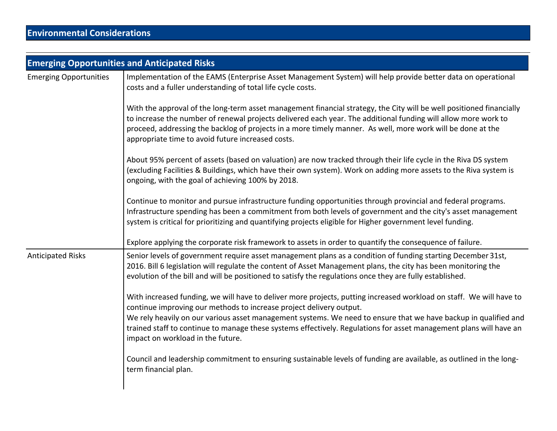|                               | <b>Emerging Opportunities and Anticipated Risks</b>                                                                                                                                                                                                                                                                                                                                                                                                                      |  |  |  |  |  |  |
|-------------------------------|--------------------------------------------------------------------------------------------------------------------------------------------------------------------------------------------------------------------------------------------------------------------------------------------------------------------------------------------------------------------------------------------------------------------------------------------------------------------------|--|--|--|--|--|--|
| <b>Emerging Opportunities</b> | Implementation of the EAMS (Enterprise Asset Management System) will help provide better data on operational<br>costs and a fuller understanding of total life cycle costs.                                                                                                                                                                                                                                                                                              |  |  |  |  |  |  |
|                               | With the approval of the long-term asset management financial strategy, the City will be well positioned financially<br>to increase the number of renewal projects delivered each year. The additional funding will allow more work to<br>proceed, addressing the backlog of projects in a more timely manner. As well, more work will be done at the<br>appropriate time to avoid future increased costs.                                                               |  |  |  |  |  |  |
|                               | About 95% percent of assets (based on valuation) are now tracked through their life cycle in the Riva DS system<br>(excluding Facilities & Buildings, which have their own system). Work on adding more assets to the Riva system is<br>ongoing, with the goal of achieving 100% by 2018.                                                                                                                                                                                |  |  |  |  |  |  |
|                               | Continue to monitor and pursue infrastructure funding opportunities through provincial and federal programs.<br>Infrastructure spending has been a commitment from both levels of government and the city's asset management<br>system is critical for prioritizing and quantifying projects eligible for Higher government level funding.                                                                                                                               |  |  |  |  |  |  |
|                               | Explore applying the corporate risk framework to assets in order to quantify the consequence of failure.                                                                                                                                                                                                                                                                                                                                                                 |  |  |  |  |  |  |
| <b>Anticipated Risks</b>      | Senior levels of government require asset management plans as a condition of funding starting December 31st,<br>2016. Bill 6 legislation will regulate the content of Asset Management plans, the city has been monitoring the<br>evolution of the bill and will be positioned to satisfy the regulations once they are fully established.                                                                                                                               |  |  |  |  |  |  |
|                               | With increased funding, we will have to deliver more projects, putting increased workload on staff. We will have to<br>continue improving our methods to increase project delivery output.<br>We rely heavily on our various asset management systems. We need to ensure that we have backup in qualified and<br>trained staff to continue to manage these systems effectively. Regulations for asset management plans will have an<br>impact on workload in the future. |  |  |  |  |  |  |
|                               | Council and leadership commitment to ensuring sustainable levels of funding are available, as outlined in the long-<br>term financial plan.                                                                                                                                                                                                                                                                                                                              |  |  |  |  |  |  |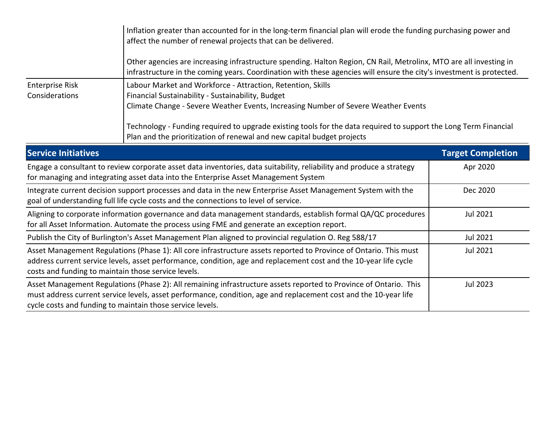|                                                                                                                                                                                                                                            | Inflation greater than accounted for in the long-term financial plan will erode the funding purchasing power and                                                                                                 |  |  |  |  |  |
|--------------------------------------------------------------------------------------------------------------------------------------------------------------------------------------------------------------------------------------------|------------------------------------------------------------------------------------------------------------------------------------------------------------------------------------------------------------------|--|--|--|--|--|
| Other agencies are increasing infrastructure spending. Halton Region, CN Rail, Metrolinx, MTO are all investing in<br>infrastructure in the coming years. Coordination with these agencies will ensure the city's investment is protected. |                                                                                                                                                                                                                  |  |  |  |  |  |
| <b>Enterprise Risk</b>                                                                                                                                                                                                                     | Labour Market and Workforce - Attraction, Retention, Skills                                                                                                                                                      |  |  |  |  |  |
| Considerations                                                                                                                                                                                                                             | Financial Sustainability - Sustainability, Budget                                                                                                                                                                |  |  |  |  |  |
|                                                                                                                                                                                                                                            | Climate Change - Severe Weather Events, Increasing Number of Severe Weather Events                                                                                                                               |  |  |  |  |  |
| Technology - Funding required to upgrade existing tools for the data required to support the Long Term Financial<br>Plan and the prioritization of renewal and new capital budget projects                                                 |                                                                                                                                                                                                                  |  |  |  |  |  |
| <b>Service Initiatives</b>                                                                                                                                                                                                                 | <b>Target Completion</b>                                                                                                                                                                                         |  |  |  |  |  |
| Engage a consultant to review corporate asset data inventories, data suitability, reliability and produce a strategy<br>for managing and integrating asset data into the Enterprise Asset Management System                                | Apr 2020                                                                                                                                                                                                         |  |  |  |  |  |
|                                                                                                                                                                                                                                            | Integrate current decision support processes and data in the new Enterprise Asset Management System with the<br>Dec 2020<br>goal of understanding full life cycle costs and the connections to level of service. |  |  |  |  |  |
|                                                                                                                                                                                                                                            | Aligning to corporate information governance and data management standards, establish formal QA/QC procedures<br>Jul 2021                                                                                        |  |  |  |  |  |

| for all Asset Information. Automate the process using FME and generate an exception report.                                                                                                                                                                                                        |          |
|----------------------------------------------------------------------------------------------------------------------------------------------------------------------------------------------------------------------------------------------------------------------------------------------------|----------|
| Publish the City of Burlington's Asset Management Plan aligned to provincial regulation O. Reg 588/17                                                                                                                                                                                              | Jul 2021 |
| Asset Management Regulations (Phase 1): All core infrastructure assets reported to Province of Ontario. This must<br>address current service levels, asset performance, condition, age and replacement cost and the 10-year life cycle<br>costs and funding to maintain those service levels.      | Jul 2021 |
| Asset Management Regulations (Phase 2): All remaining infrastructure assets reported to Province of Ontario. This<br>must address current service levels, asset performance, condition, age and replacement cost and the 10-year life<br>cycle costs and funding to maintain those service levels. | Jul 2023 |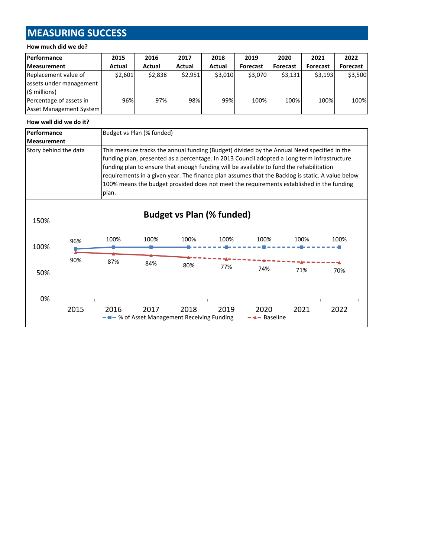# **MEASURING SUCCESS**

#### **How much did we do?**

| Performance             | 2015    | 2016    | 2017    | 2018    | 2019     | 2020     | 2021            | 2022     |
|-------------------------|---------|---------|---------|---------|----------|----------|-----------------|----------|
| <b>Measurement</b>      | Actual  | Actual  | Actual  | Actual  | Forecast | Forecast | <b>Forecast</b> | Forecast |
| Replacement value of    | \$2,601 | \$2,838 | \$2.951 | \$3,010 | \$3,070  | \$3,131  | \$3.193         | \$3,500  |
| assets under management |         |         |         |         |          |          |                 |          |
| (\$ millions)           |         |         |         |         |          |          |                 |          |
| Percentage of assets in | 96%     | 97%     | 98%     | 99%     | 100%     | 100%     | 100%            | 100%     |
| Asset Management System |         |         |         |         |          |          |                 |          |

#### **How well did we do it?**

| Performance           |                                                                                             |                                                                                         | Budget vs Plan (% funded) |                                             |      |                                                                                                  |      |      |  |  |
|-----------------------|---------------------------------------------------------------------------------------------|-----------------------------------------------------------------------------------------|---------------------------|---------------------------------------------|------|--------------------------------------------------------------------------------------------------|------|------|--|--|
| <b>Measurement</b>    |                                                                                             |                                                                                         |                           |                                             |      |                                                                                                  |      |      |  |  |
| Story behind the data |                                                                                             |                                                                                         |                           |                                             |      | This measure tracks the annual funding (Budget) divided by the Annual Need specified in the      |      |      |  |  |
|                       | funding plan, presented as a percentage. In 2013 Council adopted a Long term Infrastructure |                                                                                         |                           |                                             |      |                                                                                                  |      |      |  |  |
|                       |                                                                                             | funding plan to ensure that enough funding will be available to fund the rehabilitation |                           |                                             |      |                                                                                                  |      |      |  |  |
|                       |                                                                                             |                                                                                         |                           |                                             |      | requirements in a given year. The finance plan assumes that the Backlog is static. A value below |      |      |  |  |
|                       |                                                                                             |                                                                                         |                           |                                             |      | 100% means the budget provided does not meet the requirements established in the funding         |      |      |  |  |
|                       |                                                                                             | plan.                                                                                   |                           |                                             |      |                                                                                                  |      |      |  |  |
|                       |                                                                                             |                                                                                         |                           |                                             |      |                                                                                                  |      |      |  |  |
|                       |                                                                                             |                                                                                         |                           | <b>Budget vs Plan (% funded)</b>            |      |                                                                                                  |      |      |  |  |
| 150%                  |                                                                                             |                                                                                         |                           |                                             |      |                                                                                                  |      |      |  |  |
|                       | 96%                                                                                         | 100%                                                                                    | 100%                      | 100%                                        | 100% | 100%                                                                                             | 100% | 100% |  |  |
| 100%                  |                                                                                             |                                                                                         |                           |                                             |      |                                                                                                  |      |      |  |  |
|                       | 90%                                                                                         | 87%                                                                                     | 84%                       | 80%                                         |      |                                                                                                  |      |      |  |  |
| 50%                   |                                                                                             |                                                                                         |                           |                                             | 77%  | 74%                                                                                              | 71%  | 70%  |  |  |
|                       |                                                                                             |                                                                                         |                           |                                             |      |                                                                                                  |      |      |  |  |
|                       |                                                                                             |                                                                                         |                           |                                             |      |                                                                                                  |      |      |  |  |
| 0%                    |                                                                                             |                                                                                         |                           |                                             |      |                                                                                                  |      |      |  |  |
|                       | 2015                                                                                        | 2016                                                                                    | 2017                      | 2018                                        | 2019 | 2020                                                                                             | 2021 | 2022 |  |  |
|                       |                                                                                             |                                                                                         |                           | - - % of Asset Management Receiving Funding |      | <b>Baseline</b>                                                                                  |      |      |  |  |
|                       |                                                                                             |                                                                                         |                           |                                             |      |                                                                                                  |      |      |  |  |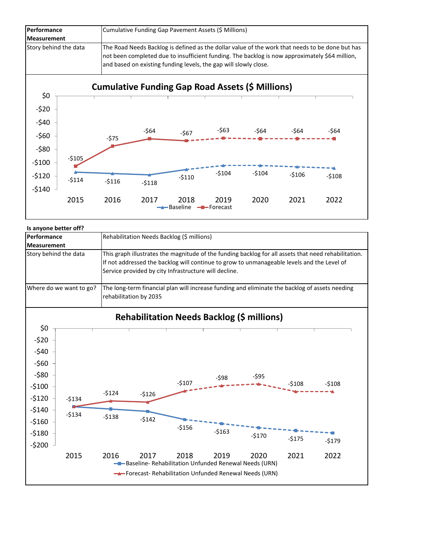

| Is anyone better off? |                         |         |                                                                                                      |                                                       |         |                                                       |         |                                                                                                |  |  |
|-----------------------|-------------------------|---------|------------------------------------------------------------------------------------------------------|-------------------------------------------------------|---------|-------------------------------------------------------|---------|------------------------------------------------------------------------------------------------|--|--|
| Performance           |                         |         | Rehabilitation Needs Backlog (\$ millions)                                                           |                                                       |         |                                                       |         |                                                                                                |  |  |
| <b>Measurement</b>    |                         |         |                                                                                                      |                                                       |         |                                                       |         |                                                                                                |  |  |
| Story behind the data |                         |         | This graph illustrates the magnitude of the funding backlog for all assets that need rehabilitation. |                                                       |         |                                                       |         |                                                                                                |  |  |
|                       |                         |         | If not addressed the backlog will continue to grow to unmanageable levels and the Level of           |                                                       |         |                                                       |         |                                                                                                |  |  |
|                       |                         |         |                                                                                                      | Service provided by city Infrastructure will decline. |         |                                                       |         |                                                                                                |  |  |
|                       | Where do we want to go? |         |                                                                                                      |                                                       |         |                                                       |         | The long-term financial plan will increase funding and eliminate the backlog of assets needing |  |  |
|                       |                         |         | rehabilitation by 2035                                                                               |                                                       |         |                                                       |         |                                                                                                |  |  |
|                       |                         |         |                                                                                                      |                                                       |         | <b>Rehabilitation Needs Backlog (\$ millions)</b>     |         |                                                                                                |  |  |
| \$0                   |                         |         |                                                                                                      |                                                       |         |                                                       |         |                                                                                                |  |  |
| $-520$                |                         |         |                                                                                                      |                                                       |         |                                                       |         |                                                                                                |  |  |
| $-540$                |                         |         |                                                                                                      |                                                       |         |                                                       |         |                                                                                                |  |  |
| $-560$                |                         |         |                                                                                                      |                                                       |         |                                                       |         |                                                                                                |  |  |
| $-580$                |                         |         |                                                                                                      |                                                       | $-598$  | $-595$                                                |         |                                                                                                |  |  |
| $-5100$               |                         |         |                                                                                                      | $-$107$                                               |         |                                                       | $-$108$ | $-5108$                                                                                        |  |  |
| $-5120$               | $-5134$                 | $-5124$ | $-5126$                                                                                              |                                                       |         |                                                       |         |                                                                                                |  |  |
| $-5140$               |                         |         |                                                                                                      |                                                       |         |                                                       |         |                                                                                                |  |  |
| $-5160$               | $-5134$                 | $-5138$ | $-5142$                                                                                              |                                                       |         |                                                       |         |                                                                                                |  |  |
|                       |                         |         |                                                                                                      | $-5156$                                               | $-5163$ |                                                       |         |                                                                                                |  |  |
| $-5180$               |                         |         |                                                                                                      |                                                       |         | $-5170$                                               | $-5175$ | $-$179$                                                                                        |  |  |
| $-5200$               |                         |         |                                                                                                      |                                                       |         |                                                       |         |                                                                                                |  |  |
|                       | 2015                    | 2016    | 2017                                                                                                 | 2018                                                  | 2019    | 2020                                                  | 2021    | 2022                                                                                           |  |  |
|                       |                         |         |                                                                                                      |                                                       |         | -Baseline-Rehabilitation Unfunded Renewal Needs (URN) |         |                                                                                                |  |  |
|                       |                         |         |                                                                                                      |                                                       |         | Forecast-Rehabilitation Unfunded Renewal Needs (URN)  |         |                                                                                                |  |  |
|                       |                         |         |                                                                                                      |                                                       |         |                                                       |         |                                                                                                |  |  |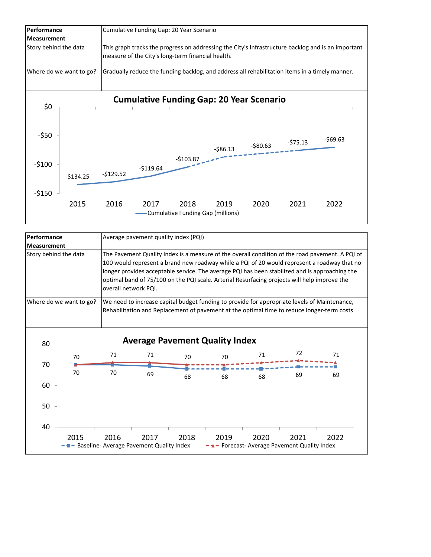

|                       | Performance<br>Average pavement quality index (PQI) |                      |                                                 |      |                                       |                                                                                              |      |                                                                                                                                                                                                                                                                                                  |  |
|-----------------------|-----------------------------------------------------|----------------------|-------------------------------------------------|------|---------------------------------------|----------------------------------------------------------------------------------------------|------|--------------------------------------------------------------------------------------------------------------------------------------------------------------------------------------------------------------------------------------------------------------------------------------------------|--|
| <b>Measurement</b>    |                                                     |                      |                                                 |      |                                       |                                                                                              |      |                                                                                                                                                                                                                                                                                                  |  |
| Story behind the data |                                                     | overall network PQI. |                                                 |      |                                       | optimal band of 75/100 on the PQI scale. Arterial Resurfacing projects will help improve the |      | The Pavement Quality Index is a measure of the overall condition of the road pavement. A PQI of<br>100 would represent a brand new roadway while a PQI of 20 would represent a roadway that no<br>longer provides acceptable service. The average PQI has been stabilized and is approaching the |  |
|                       | Where do we want to go?                             |                      |                                                 |      |                                       |                                                                                              |      | We need to increase capital budget funding to provide for appropriate levels of Maintenance,<br>Rehabilitation and Replacement of pavement at the optimal time to reduce longer-term costs                                                                                                       |  |
| 80                    |                                                     |                      |                                                 |      | <b>Average Pavement Quality Index</b> |                                                                                              |      |                                                                                                                                                                                                                                                                                                  |  |
| 70                    | 70                                                  | 71                   | 71                                              | 70   | 70                                    | 71                                                                                           | 72   | 71                                                                                                                                                                                                                                                                                               |  |
|                       | 70                                                  | 70                   | 69                                              | 68   | 68                                    | 68                                                                                           | 69   | 69                                                                                                                                                                                                                                                                                               |  |
| 60                    |                                                     |                      |                                                 |      |                                       |                                                                                              |      |                                                                                                                                                                                                                                                                                                  |  |
| 50                    |                                                     |                      |                                                 |      |                                       |                                                                                              |      |                                                                                                                                                                                                                                                                                                  |  |
| 40                    |                                                     |                      |                                                 |      |                                       |                                                                                              |      |                                                                                                                                                                                                                                                                                                  |  |
|                       | 2015                                                | 2016                 | 2017<br>Baseline-Average Pavement Quality Index | 2018 | 2019                                  | 2020<br>Forecast-Average Pavement Quality Index                                              | 2021 | 2022                                                                                                                                                                                                                                                                                             |  |